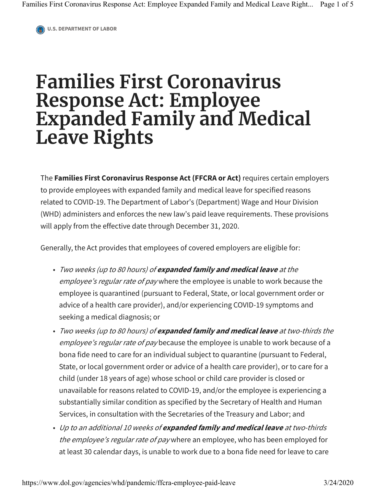**U.S. DEPARTMENT OF LABOR**

## **Families First Coronavirus Response Act: Employee Expanded Family and Medical Leave Rights**

The **Families First Coronavirus Response Act (FFCRA or Act)** requires certain employers to provide employees with expanded family and medical leave for specified reasons related to COVID-19. The Department of Labor's (Department) Wage and Hour Division (WHD) administers and enforces the new law's paid leave requirements. These provisions will apply from the effective date through December 31, 2020.

Generally, the Act provides that employees of covered employers are eligible for:

- Two weeks (up to 80 hours) of **expanded family and medical leave** at the employee's regular rate of pay where the employee is unable to work because the employee is quarantined (pursuant to Federal, State, or local government order or advice of a health care provider), and/or experiencing COVID-19 symptoms and seeking a medical diagnosis; or
- Two weeks (up to 80 hours) of **expanded family and medical leave** at two-thirds the employee's regular rate of pay because the employee is unable to work because of a bona fide need to care for an individual subject to quarantine (pursuant to Federal, State, or local government order or advice of a health care provider), or to care for a child (under 18 years of age) whose school or child care provider is closed or unavailable for reasons related to COVID-19, and/or the employee is experiencing a substantially similar condition as specified by the Secretary of Health and Human Services, in consultation with the Secretaries of the Treasury and Labor; and
- Up to an additional 10 weeks of **expanded family and medical leave** at two-thirds the employee's regular rate of pay where an employee, who has been employed for at least 30 calendar days, is unable to work due to a bona fide need for leave to care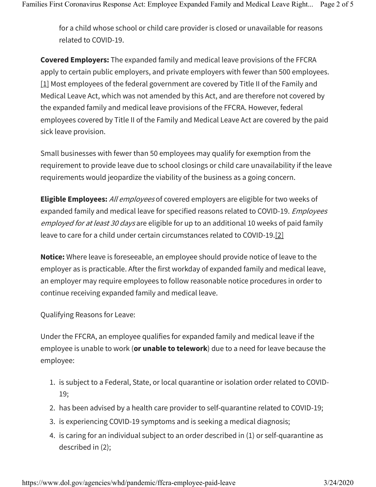for a child whose school or child care provider is closed or unavailable for reasons related to COVID-19.

**Covered Employers:** The expanded family and medical leave provisions of the FFCRA apply to certain public employers, and private employers with fewer than 500 employees. [1] Most employees of the federal government are covered by Title II of the Family and Medical Leave Act, which was not amended by this Act, and are therefore not covered by the expanded family and medical leave provisions of the FFCRA. However, federal employees covered by Title II of the Family and Medical Leave Act are covered by the paid sick leave provision.

Small businesses with fewer than 50 employees may qualify for exemption from the requirement to provide leave due to school closings or child care unavailability if the leave requirements would jeopardize the viability of the business as a going concern.

**Eligible Employees:** All employees of covered employers are eligible for two weeks of expanded family and medical leave for specified reasons related to COVID-19. *Employees* employed for at least 30 days are eligible for up to an additional 10 weeks of paid family leave to care for a child under certain circumstances related to COVID-19.[2]

**Notice:** Where leave is foreseeable, an employee should provide notice of leave to the employer as is practicable. After the first workday of expanded family and medical leave, an employer may require employees to follow reasonable notice procedures in order to continue receiving expanded family and medical leave.

Qualifying Reasons for Leave:

Under the FFCRA, an employee qualifies for expanded family and medical leave if the employee is unable to work (**or unable to telework**) due to a need for leave because the employee:

- 1. is subject to a Federal, State, or local quarantine or isolation order related to COVID-19;
- 2. has been advised by a health care provider to self-quarantine related to COVID-19;
- 3. is experiencing COVID-19 symptoms and is seeking a medical diagnosis;
- 4. is caring for an individual subject to an order described in (1) or self-quarantine as described in (2);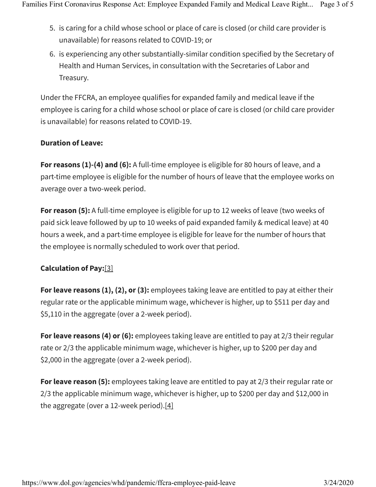- 5. is caring for a child whose school or place of care is closed (or child care provider is unavailable) for reasons related to COVID-19; or
- 6. is experiencing any other substantially-similar condition specified by the Secretary of Health and Human Services, in consultation with the Secretaries of Labor and Treasury.

Under the FFCRA, an employee qualifies for expanded family and medical leave if the employee is caring for a child whose school or place of care is closed (or child care provider is unavailable) for reasons related to COVID-19.

## **Duration of Leave:**

**For reasons (1)-(4) and (6):** A full-time employee is eligible for 80 hours of leave, and a part-time employee is eligible for the number of hours of leave that the employee works on average over a two-week period.

**For reason (5):** A full-time employee is eligible for up to 12 weeks of leave (two weeks of paid sick leave followed by up to 10 weeks of paid expanded family & medical leave) at 40 hours a week, and a part-time employee is eligible for leave for the number of hours that the employee is normally scheduled to work over that period.

## **Calculation of Pay:**[3]

**For leave reasons (1), (2), or (3):** employees taking leave are entitled to pay at either their regular rate or the applicable minimum wage, whichever is higher, up to \$511 per day and \$5,110 in the aggregate (over a 2-week period).

**For leave reasons (4) or (6):** employees taking leave are entitled to pay at 2/3 their regular rate or 2/3 the applicable minimum wage, whichever is higher, up to \$200 per day and \$2,000 in the aggregate (over a 2-week period).

**For leave reason (5):** employees taking leave are entitled to pay at 2/3 their regular rate or 2/3 the applicable minimum wage, whichever is higher, up to \$200 per day and \$12,000 in the aggregate (over a 12-week period).[4]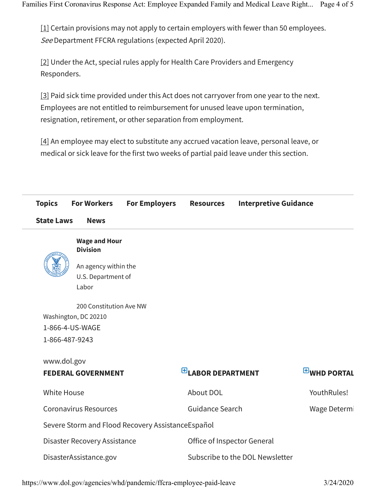[1] Certain provisions may not apply to certain employers with fewer than 50 employees. See Department FFCRA regulations (expected April 2020).

[2] Under the Act, special rules apply for Health Care Providers and Emergency Responders.

[3] Paid sick time provided under this Act does not carryover from one year to the next. Employees are not entitled to reimbursement for unused leave upon termination, resignation, retirement, or other separation from employment.

[4] An employee may elect to substitute any accrued vacation leave, personal leave, or medical or sick leave for the first two weeks of partial paid leave under this section.

| <b>Topics</b>                            | <b>For Workers</b>                                                 | <b>For Employers</b>                              | <b>Resources</b>            |              | <b>Interpretive Guidance</b> |  |
|------------------------------------------|--------------------------------------------------------------------|---------------------------------------------------|-----------------------------|--------------|------------------------------|--|
| <b>State Laws</b>                        | <b>News</b>                                                        |                                                   |                             |              |                              |  |
|                                          | <b>Wage and Hour</b>                                               |                                                   |                             |              |                              |  |
|                                          | <b>Division</b><br>An agency within the<br>U.S. Department of      |                                                   |                             |              |                              |  |
|                                          | Labor                                                              |                                                   |                             |              |                              |  |
| 1-866-487-9243                           | 200 Constitution Ave NW<br>Washington, DC 20210<br>1-866-4-US-WAGE |                                                   |                             |              |                              |  |
| www.dol.gov<br><b>FEDERAL GOVERNMENT</b> |                                                                    |                                                   | $E$ LABOR DEPARTMENT        |              | <b>EWHD PORTAL</b>           |  |
| <b>White House</b>                       |                                                                    |                                                   | About DOL                   |              | YouthRules!                  |  |
| <b>Coronavirus Resources</b>             |                                                                    | <b>Guidance Search</b>                            |                             | Wage Determi |                              |  |
|                                          |                                                                    | Severe Storm and Flood Recovery AssistanceEspañol |                             |              |                              |  |
|                                          | Disaster Recovery Assistance                                       |                                                   | Office of Inspector General |              |                              |  |
|                                          |                                                                    |                                                   |                             |              |                              |  |

https://www.dol.gov/agencies/whd/pandemic/ffcra-employee-paid-leave 3/24/2020